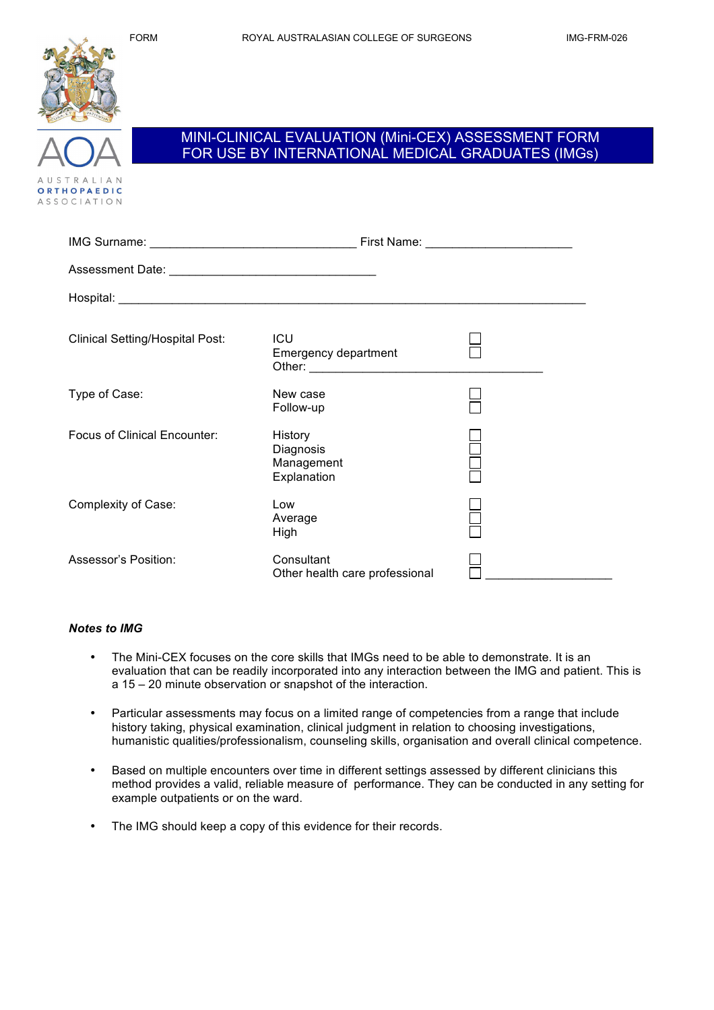

## MINI-CLINICAL EVALUATION (Mini-CEX) ASSESSMENT FORM FOR USE BY INTERNATIONAL MEDICAL GRADUATES (IMGs)

|                                        |                                                   | First Name: 1990 March 1991 |
|----------------------------------------|---------------------------------------------------|-----------------------------|
|                                        |                                                   |                             |
|                                        |                                                   |                             |
| <b>Clinical Setting/Hospital Post:</b> | <b>ICU</b><br>Emergency department                |                             |
| Type of Case:                          | New case<br>Follow-up                             |                             |
| <b>Focus of Clinical Encounter:</b>    | History<br>Diagnosis<br>Management<br>Explanation |                             |
| Complexity of Case:                    | Low<br>Average<br>High                            |                             |
| Assessor's Position:                   | Consultant<br>Other health care professional      |                             |

## *Notes to IMG*

- The Mini-CEX focuses on the core skills that IMGs need to be able to demonstrate. It is an evaluation that can be readily incorporated into any interaction between the IMG and patient. This is a 15 – 20 minute observation or snapshot of the interaction.
- Particular assessments may focus on a limited range of competencies from a range that include history taking, physical examination, clinical judgment in relation to choosing investigations, humanistic qualities/professionalism, counseling skills, organisation and overall clinical competence.
- Based on multiple encounters over time in different settings assessed by different clinicians this method provides a valid, reliable measure of performance. They can be conducted in any setting for example outpatients or on the ward.
- The IMG should keep a copy of this evidence for their records.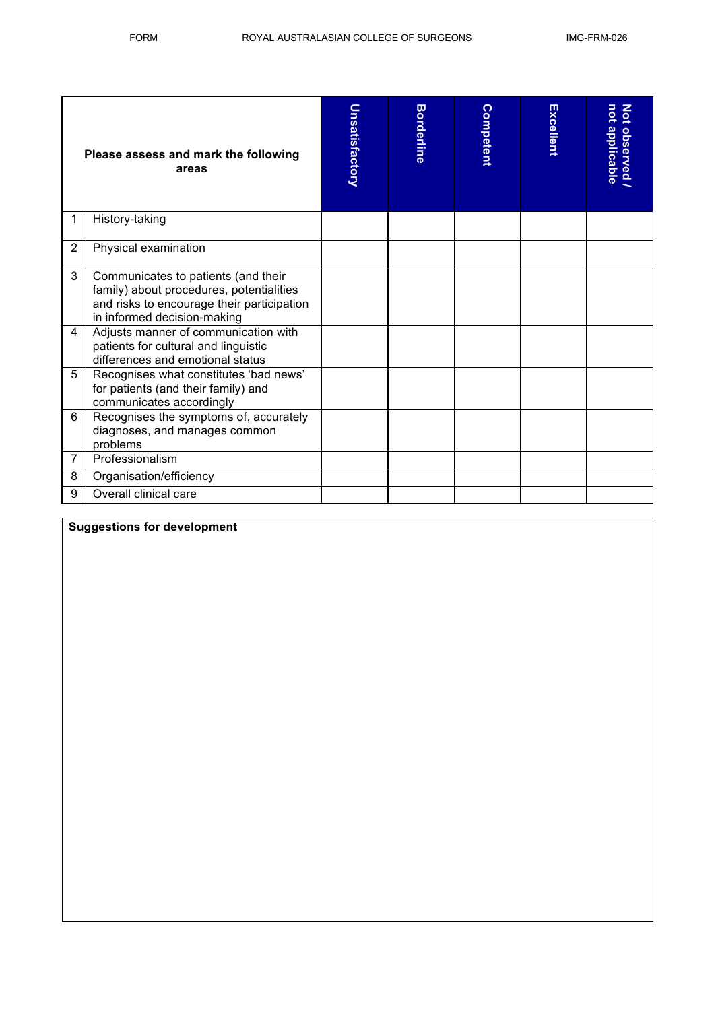|                | Please assess and mark the following<br>areas                                                                                                                | Unsatisfactory | <b>Borderline</b> | Competent | Excellent | not applicable<br>$\overline{a}$<br>observed |
|----------------|--------------------------------------------------------------------------------------------------------------------------------------------------------------|----------------|-------------------|-----------|-----------|----------------------------------------------|
|                | History-taking                                                                                                                                               |                |                   |           |           |                                              |
| $\overline{2}$ | Physical examination                                                                                                                                         |                |                   |           |           |                                              |
| 3              | Communicates to patients (and their<br>family) about procedures, potentialities<br>and risks to encourage their participation<br>in informed decision-making |                |                   |           |           |                                              |
| 4              | Adjusts manner of communication with<br>patients for cultural and linguistic<br>differences and emotional status                                             |                |                   |           |           |                                              |
| 5              | Recognises what constitutes 'bad news'<br>for patients (and their family) and<br>communicates accordingly                                                    |                |                   |           |           |                                              |
| 6              | Recognises the symptoms of, accurately<br>diagnoses, and manages common<br>problems                                                                          |                |                   |           |           |                                              |
| 7              | Professionalism                                                                                                                                              |                |                   |           |           |                                              |
| 8              | Organisation/efficiency                                                                                                                                      |                |                   |           |           |                                              |
| 9              | Overall clinical care                                                                                                                                        |                |                   |           |           |                                              |

## **Suggestions for development**